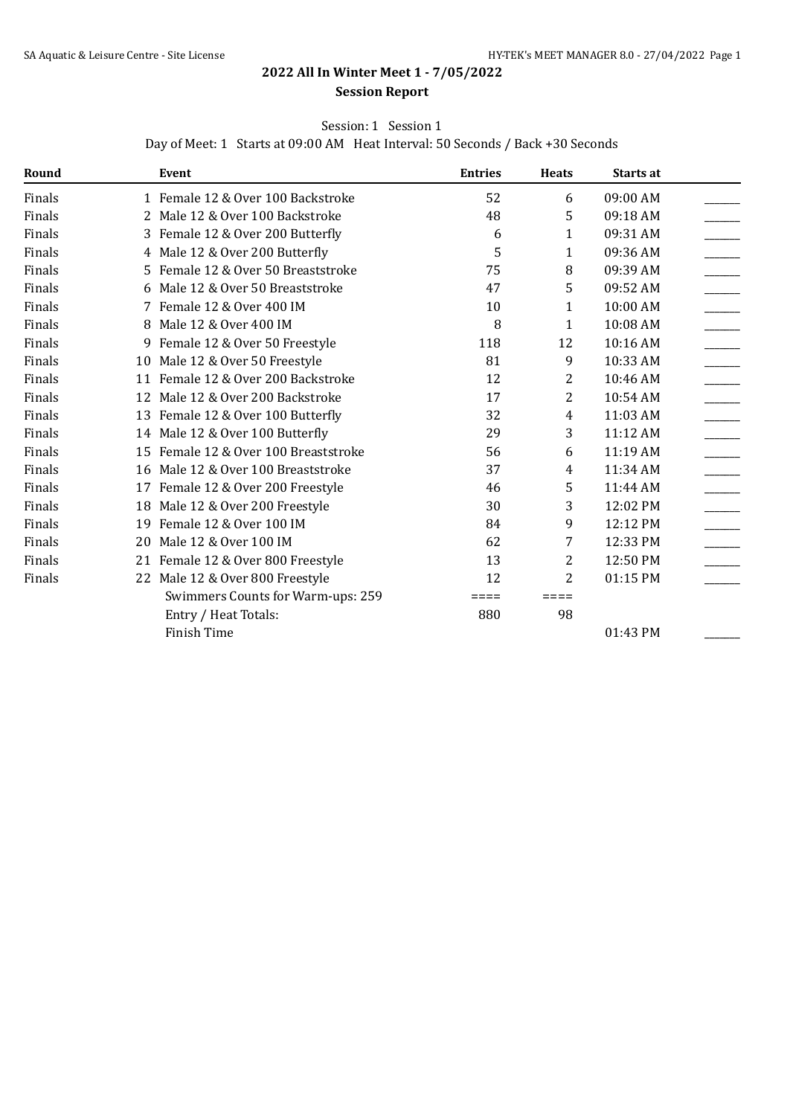# **2022 All In Winter Meet 1 - 7/05/2022**

### **Session Report**

## Session: 1 Session 1

Day of Meet: 1 Starts at 09:00 AM Heat Interval: 50 Seconds / Back +30 Seconds

| Round  |    | Event                                | <b>Entries</b> | <b>Heats</b> | Starts at |  |
|--------|----|--------------------------------------|----------------|--------------|-----------|--|
| Finals |    | 1 Female 12 & Over 100 Backstroke    | 52             | 6            | 09:00 AM  |  |
| Finals |    | 2 Male 12 & Over 100 Backstroke      | 48             | 5            | 09:18 AM  |  |
| Finals |    | 3 Female 12 & Over 200 Butterfly     | 6              | 1            | 09:31 AM  |  |
| Finals |    | 4 Male 12 & Over 200 Butterfly       | 5              | 1            | 09:36 AM  |  |
| Finals | 5. | Female 12 & Over 50 Breaststroke     | 75             | 8            | 09:39 AM  |  |
| Finals | 6  | Male 12 & Over 50 Breaststroke       | 47             | 5            | 09:52 AM  |  |
| Finals |    | 7 Female 12 & Over 400 IM            | 10             | 1            | 10:00 AM  |  |
| Finals |    | 8 Male 12 & Over 400 IM              | 8              | 1            | 10:08 AM  |  |
| Finals |    | 9 Female 12 & Over 50 Freestyle      | 118            | 12           | 10:16 AM  |  |
| Finals |    | 10 Male 12 & Over 50 Freestyle       | 81             | 9            | 10:33 AM  |  |
| Finals |    | 11 Female 12 & Over 200 Backstroke   | 12             | 2            | 10:46 AM  |  |
| Finals |    | 12 Male 12 & Over 200 Backstroke     | 17             | 2            | 10:54 AM  |  |
| Finals |    | 13 Female 12 & Over 100 Butterfly    | 32             | 4            | 11:03 AM  |  |
| Finals |    | 14 Male 12 & Over 100 Butterfly      | 29             | 3            | 11:12 AM  |  |
| Finals |    | 15 Female 12 & Over 100 Breaststroke | 56             | 6            | 11:19 AM  |  |
| Finals |    | 16 Male 12 & Over 100 Breaststroke   | 37             | 4            | 11:34 AM  |  |
| Finals |    | 17 Female 12 & Over 200 Freestyle    | 46             | 5            | 11:44 AM  |  |
| Finals | 18 | Male 12 & Over 200 Freestyle         | 30             | 3            | 12:02 PM  |  |
| Finals |    | 19 Female 12 & Over 100 IM           | 84             | 9            | 12:12 PM  |  |
| Finals | 20 | Male 12 & Over 100 IM                | 62             | 7            | 12:33 PM  |  |
| Finals |    | 21 Female 12 & Over 800 Freestyle    | 13             | 2            | 12:50 PM  |  |
| Finals |    | 22 Male 12 & Over 800 Freestyle      | 12             | 2            | 01:15 PM  |  |
|        |    | Swimmers Counts for Warm-ups: 259    | ====           | ====         |           |  |
|        |    | Entry / Heat Totals:                 | 880            | 98           |           |  |
|        |    | Finish Time                          |                |              | 01:43 PM  |  |